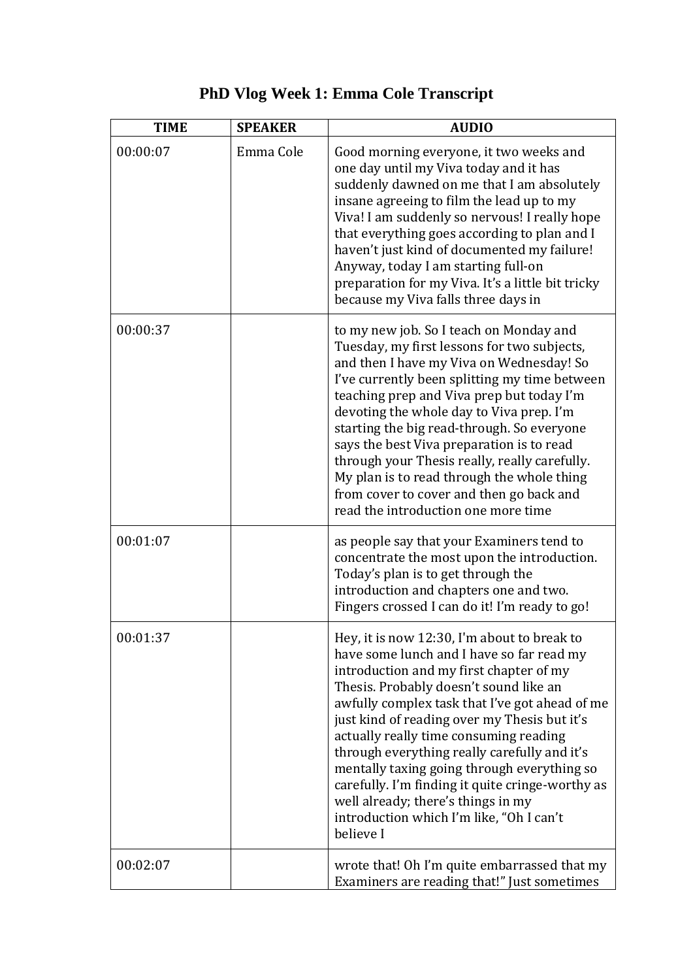| <b>TIME</b> | <b>SPEAKER</b> | <b>AUDIO</b>                                                                                                                                                                                                                                                                                                                                                                                                                                                                                                                                                                |
|-------------|----------------|-----------------------------------------------------------------------------------------------------------------------------------------------------------------------------------------------------------------------------------------------------------------------------------------------------------------------------------------------------------------------------------------------------------------------------------------------------------------------------------------------------------------------------------------------------------------------------|
| 00:00:07    | Emma Cole      | Good morning everyone, it two weeks and<br>one day until my Viva today and it has<br>suddenly dawned on me that I am absolutely<br>insane agreeing to film the lead up to my<br>Viva! I am suddenly so nervous! I really hope<br>that everything goes according to plan and I<br>haven't just kind of documented my failure!<br>Anyway, today I am starting full-on<br>preparation for my Viva. It's a little bit tricky<br>because my Viva falls three days in                                                                                                             |
| 00:00:37    |                | to my new job. So I teach on Monday and<br>Tuesday, my first lessons for two subjects,<br>and then I have my Viva on Wednesday! So<br>I've currently been splitting my time between<br>teaching prep and Viva prep but today I'm<br>devoting the whole day to Viva prep. I'm<br>starting the big read-through. So everyone<br>says the best Viva preparation is to read<br>through your Thesis really, really carefully.<br>My plan is to read through the whole thing<br>from cover to cover and then go back and<br>read the introduction one more time                   |
| 00:01:07    |                | as people say that your Examiners tend to<br>concentrate the most upon the introduction.<br>Today's plan is to get through the<br>introduction and chapters one and two.<br>Fingers crossed I can do it! I'm ready to go!                                                                                                                                                                                                                                                                                                                                                   |
| 00:01:37    |                | Hey, it is now 12:30, I'm about to break to<br>have some lunch and I have so far read my<br>introduction and my first chapter of my<br>Thesis. Probably doesn't sound like an<br>awfully complex task that I've got ahead of me<br>just kind of reading over my Thesis but it's<br>actually really time consuming reading<br>through everything really carefully and it's<br>mentally taxing going through everything so<br>carefully. I'm finding it quite cringe-worthy as<br>well already; there's things in my<br>introduction which I'm like, "Oh I can't<br>believe I |
| 00:02:07    |                | wrote that! Oh I'm quite embarrassed that my<br>Examiners are reading that!" Just sometimes                                                                                                                                                                                                                                                                                                                                                                                                                                                                                 |

## **PhD Vlog Week 1: Emma Cole Transcript**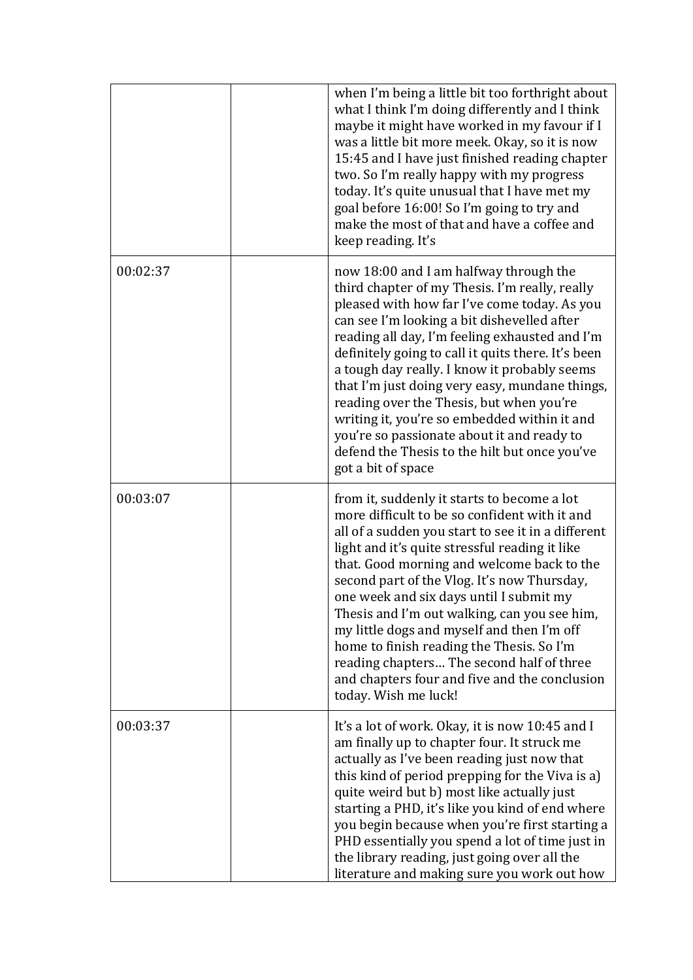|          | when I'm being a little bit too forthright about<br>what I think I'm doing differently and I think<br>maybe it might have worked in my favour if I<br>was a little bit more meek. Okay, so it is now<br>15:45 and I have just finished reading chapter<br>two. So I'm really happy with my progress<br>today. It's quite unusual that I have met my<br>goal before 16:00! So I'm going to try and<br>make the most of that and have a coffee and<br>keep reading. It's                                                                                                                                             |
|----------|--------------------------------------------------------------------------------------------------------------------------------------------------------------------------------------------------------------------------------------------------------------------------------------------------------------------------------------------------------------------------------------------------------------------------------------------------------------------------------------------------------------------------------------------------------------------------------------------------------------------|
| 00:02:37 | now 18:00 and I am halfway through the<br>third chapter of my Thesis. I'm really, really<br>pleased with how far I've come today. As you<br>can see I'm looking a bit dishevelled after<br>reading all day, I'm feeling exhausted and I'm<br>definitely going to call it quits there. It's been<br>a tough day really. I know it probably seems<br>that I'm just doing very easy, mundane things,<br>reading over the Thesis, but when you're<br>writing it, you're so embedded within it and<br>you're so passionate about it and ready to<br>defend the Thesis to the hilt but once you've<br>got a bit of space |
| 00:03:07 | from it, suddenly it starts to become a lot<br>more difficult to be so confident with it and<br>all of a sudden you start to see it in a different<br>light and it's quite stressful reading it like<br>that. Good morning and welcome back to the<br>second part of the Vlog. It's now Thursday,<br>one week and six days until I submit my<br>Thesis and I'm out walking, can you see him,<br>my little dogs and myself and then I'm off<br>home to finish reading the Thesis. So I'm<br>reading chapters The second half of three<br>and chapters four and five and the conclusion<br>today. Wish me luck!      |
| 00:03:37 | It's a lot of work. Okay, it is now 10:45 and I<br>am finally up to chapter four. It struck me<br>actually as I've been reading just now that<br>this kind of period prepping for the Viva is a)<br>quite weird but b) most like actually just<br>starting a PHD, it's like you kind of end where<br>you begin because when you're first starting a<br>PHD essentially you spend a lot of time just in<br>the library reading, just going over all the<br>literature and making sure you work out how                                                                                                              |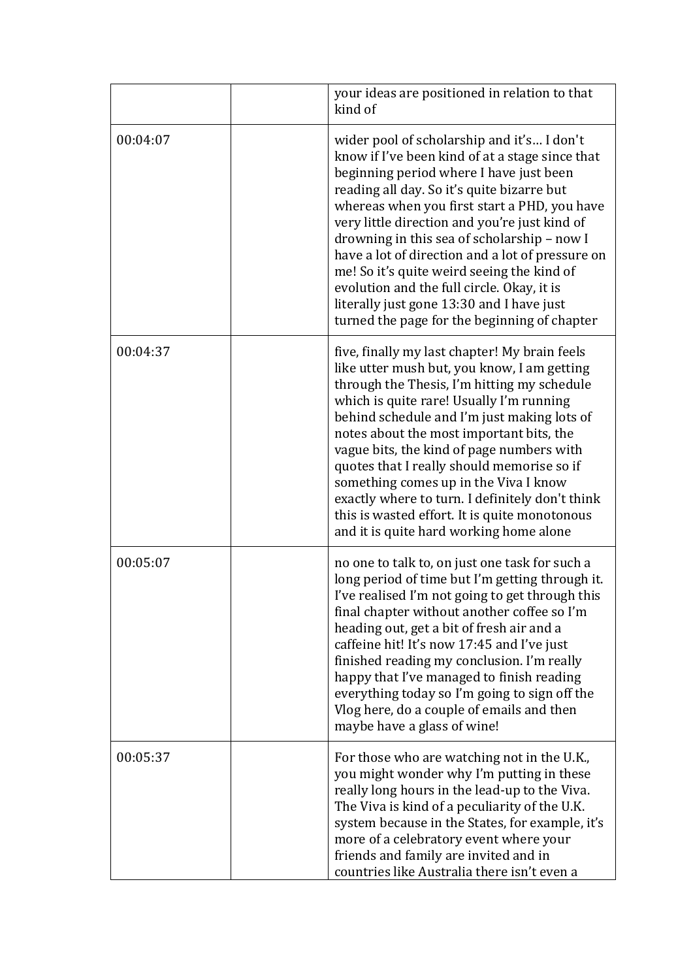|          | your ideas are positioned in relation to that<br>kind of                                                                                                                                                                                                                                                                                                                                                                                                                                                                                                                            |
|----------|-------------------------------------------------------------------------------------------------------------------------------------------------------------------------------------------------------------------------------------------------------------------------------------------------------------------------------------------------------------------------------------------------------------------------------------------------------------------------------------------------------------------------------------------------------------------------------------|
| 00:04:07 | wider pool of scholarship and it's I don't<br>know if I've been kind of at a stage since that<br>beginning period where I have just been<br>reading all day. So it's quite bizarre but<br>whereas when you first start a PHD, you have<br>very little direction and you're just kind of<br>drowning in this sea of scholarship - now I<br>have a lot of direction and a lot of pressure on<br>me! So it's quite weird seeing the kind of<br>evolution and the full circle. Okay, it is<br>literally just gone 13:30 and I have just<br>turned the page for the beginning of chapter |
| 00:04:37 | five, finally my last chapter! My brain feels<br>like utter mush but, you know, I am getting<br>through the Thesis, I'm hitting my schedule<br>which is quite rare! Usually I'm running<br>behind schedule and I'm just making lots of<br>notes about the most important bits, the<br>vague bits, the kind of page numbers with<br>quotes that I really should memorise so if<br>something comes up in the Viva I know<br>exactly where to turn. I definitely don't think<br>this is wasted effort. It is quite monotonous<br>and it is quite hard working home alone               |
| 00:05:07 | no one to talk to, on just one task for such a<br>long period of time but I'm getting through it.<br>I've realised I'm not going to get through this<br>final chapter without another coffee so I'm<br>heading out, get a bit of fresh air and a<br>caffeine hit! It's now 17:45 and I've just<br>finished reading my conclusion. I'm really<br>happy that I've managed to finish reading<br>everything today so I'm going to sign off the<br>Vlog here, do a couple of emails and then<br>maybe have a glass of wine!                                                              |
| 00:05:37 | For those who are watching not in the U.K.,<br>you might wonder why I'm putting in these<br>really long hours in the lead-up to the Viva.<br>The Viva is kind of a peculiarity of the U.K.<br>system because in the States, for example, it's<br>more of a celebratory event where your<br>friends and family are invited and in<br>countries like Australia there isn't even a                                                                                                                                                                                                     |